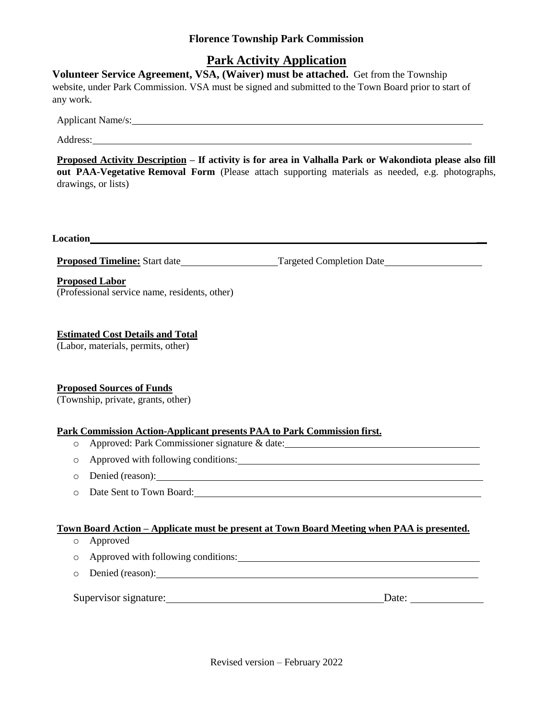### **Florence Township Park Commission**

## **Park Activity Application**

**Volunteer Service Agreement, VSA, (Waiver) must be attached.** Get from the Township website, under Park Commission. VSA must be signed and submitted to the Town Board prior to start of any work.

Applicant Name/s:

Address:

**Proposed Activity Description – If activity is for area in Valhalla Park or Wakondiota please also fill out PAA-Vegetative Removal Form** (Please attach supporting materials as needed, e.g. photographs, drawings, or lists)

**Location \_\_**

**Proposed Timeline:** Start date Targeted Completion Date

#### **Proposed Labor**

(Professional service name, residents, other)

#### **Estimated Cost Details and Total**

(Labor, materials, permits, other)

#### **Proposed Sources of Funds**

(Township, private, grants, other)

#### **Park Commission Action-Applicant presents PAA to Park Commission first.**

- o Approved: Park Commissioner signature & date:
- o Approved with following conditions:
- o Denied (reason):
- o Date Sent to Town Board:

#### **Town Board Action – Applicate must be present at Town Board Meeting when PAA is presented.**

- o Approved
- o Approved with following conditions:
- o Denied (reason):

| $\sim$<br>Supervisor signature: | Date: |  |
|---------------------------------|-------|--|
|                                 |       |  |

Revised version – February 2022